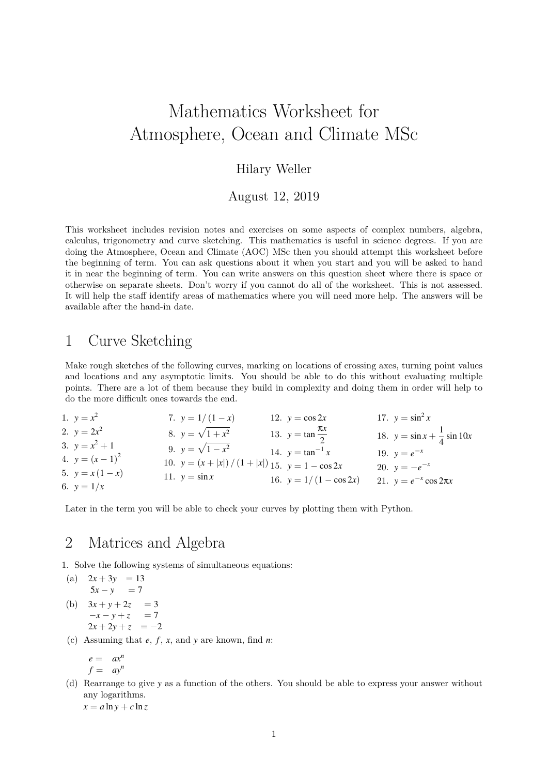# Mathematics Worksheet for Atmosphere, Ocean and Climate MSc

### Hilary Weller

August 12, 2019

This worksheet includes revision notes and exercises on some aspects of complex numbers, algebra, calculus, trigonometry and curve sketching. This mathematics is useful in science degrees. If you are doing the Atmosphere, Ocean and Climate (AOC) MSc then you should attempt this worksheet before the beginning of term. You can ask questions about it when you start and you will be asked to hand it in near the beginning of term. You can write answers on this question sheet where there is space or otherwise on separate sheets. Don't worry if you cannot do all of the worksheet. This is not assessed. It will help the staff identify areas of mathematics where you will need more help. The answers will be available after the hand-in date.

## 1 Curve Sketching

Make rough sketches of the following curves, marking on locations of crossing axes, turning point values and locations and any asymptotic limits. You should be able to do this without evaluating multiple points. There are a lot of them because they build in complexity and doing them in order will help to do the more difficult ones towards the end.

| 1. $y = x^2$       | 7. $y = 1/(1-x)$                                      | 12. $y = \cos 2x$              | 17. $y = \sin^2 x$                      |
|--------------------|-------------------------------------------------------|--------------------------------|-----------------------------------------|
| 2. $y = 2x^2$      | 8. $y = \sqrt{1 + x^2}$                               | 13. $y = \tan \frac{\pi x}{2}$ | 18. $y = \sin x + \frac{1}{4} \sin 10x$ |
| 3. $y = x^2 + 1$   | 9. $y = \sqrt{1 - x^2}$                               | 14. $y = \tan^{-1} x$          | 19. $y=e^{-x}$                          |
| 4. $y = (x - 1)^2$ | 10. $y = (x +  x ) / (1 +  x )$ 15. $y = 1 - \cos 2x$ |                                | 20. $y = -e^{-x}$                       |
| 5. $y = x(1-x)$    | 11. $y = \sin x$                                      | 16. $y = 1/(1 - \cos 2x)$      | 21. $y = e^{-x} \cos 2\pi x$            |
| 6. $y = 1/x$       |                                                       |                                |                                         |

Later in the term you will be able to check your curves by plotting them with Python.

## 2 Matrices and Algebra

1. Solve the following systems of simultaneous equations:

(a) 
$$
2x + 3y = 13
$$
  
\n $5x - y = 7$   
\n(b)  $3x + y + 2z = 3$   
\n $-x - y + z = 7$   
\n $2x + 2y + z = -2$ 

(c) Assuming that *e*, *f* , *x*, and *y* are known, find *n*:

$$
\begin{array}{rcl}\ne & = & ax^n \\
f & = & ay^n\n\end{array}
$$

(d) Rearrange to give *y* as a function of the others. You should be able to express your answer without any logarithms.

 $x = a \ln y + c \ln z$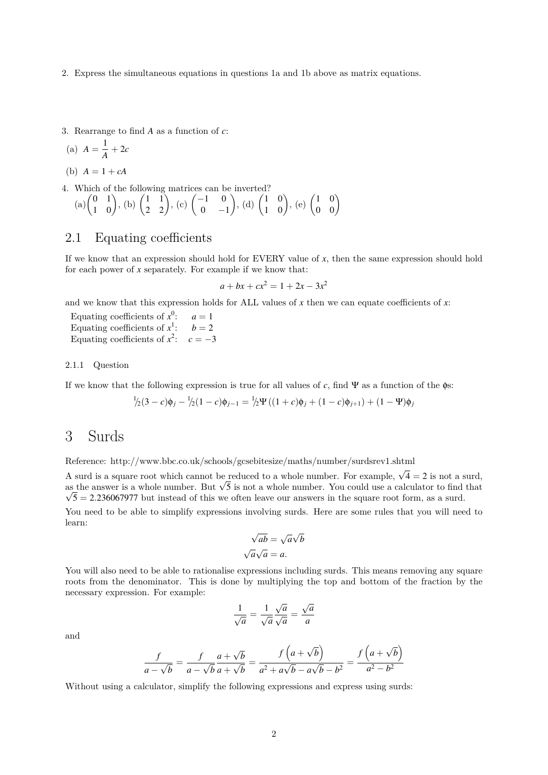- 2. Express the simultaneous equations in questions 1a and 1b above as matrix equations.
- 3. Rearrange to find *A* as a function of *c*:

$$
(a) A = \frac{1}{A} + 2c
$$

(b)  $A = 1 + cA$ 

- 4. Which of the following matrices can be inverted?
- (a) $\begin{pmatrix} 0 & 1 \\ 1 & 0 \end{pmatrix}$ , (b)  $\begin{pmatrix} 1 & 1 \\ 2 & 2 \end{pmatrix}$ , (c)  $\begin{pmatrix} -1 & 0 \\ 0 & -1 \end{pmatrix}$  $0 -1$  $\Bigg),\,$  (d)  $\begin{pmatrix} 1 & 0 \\ 1 & 0 \end{pmatrix},\,$  (e)  $\begin{pmatrix} 1 & 0 \\ 0 & 0 \end{pmatrix}$

### 2.1 Equating coefficients

If we know that an expression should hold for EVERY value of *x*, then the same expression should hold for each power of *x* separately. For example if we know that:

$$
a + bx + cx^2 = 1 + 2x - 3x^2
$$

and we know that this expression holds for ALL values of  $x$  then we can equate coefficients of  $x$ :

Equating coefficients of *x* 0  $a = 1$ Equating coefficients of *x* 1  $b = 2$ Equating coefficients of  $x^2$ :  $c = -3$ 

#### 2.1.1 Question

If we know that the following expression is true for all values of *c*, find  $\Psi$  as a function of the  $\phi$ s:

$$
\frac{1}{2}(3-c)\phi_j - \frac{1}{2}(1-c)\phi_{j-1} = \frac{1}{2}\Psi((1+c)\phi_j + (1-c)\phi_{j+1}) + (1-\Psi)\phi_j
$$

### 3 Surds

Reference: http://www.bbc.co.uk/schools/gcsebitesize/maths/number/surdsrev1.shtml

A surd is a square root which cannot be reduced to a whole number. For example,  $\sqrt{4} = 2$  is not a surd, A surd is a square root which cannot be reduced to a whole number. For example,  $\sqrt{4} = 2$  is not a surd, as the answer is a whole number. But  $\sqrt{5}$  is not a whole number. You could use a calculator to find that  $\sqrt{5}$  = 2.236067977 but instead of this we often leave our answers in the square root form, as a surd. You need to be able to simplify expressions involving surds. Here are some rules that you will need to

$$
\sqrt{ab} = \sqrt{a}\sqrt{b}
$$

$$
\sqrt{a}\sqrt{a} = a.
$$

You will also need to be able to rationalise expressions including surds. This means removing any square roots from the denominator. This is done by multiplying the top and bottom of the fraction by the necessary expression. For example:

$$
\frac{1}{\sqrt{a}} = \frac{1}{\sqrt{a}} \frac{\sqrt{a}}{\sqrt{a}} = \frac{\sqrt{a}}{a}
$$

and

learn:

$$
\frac{f}{a - \sqrt{b}} = \frac{f}{a - \sqrt{b}} \frac{a + \sqrt{b}}{a + \sqrt{b}} = \frac{f(a + \sqrt{b})}{a^2 + a\sqrt{b} - a\sqrt{b} - b^2} = \frac{f(a + \sqrt{b})}{a^2 - b^2}
$$

Without using a calculator, simplify the following expressions and express using surds: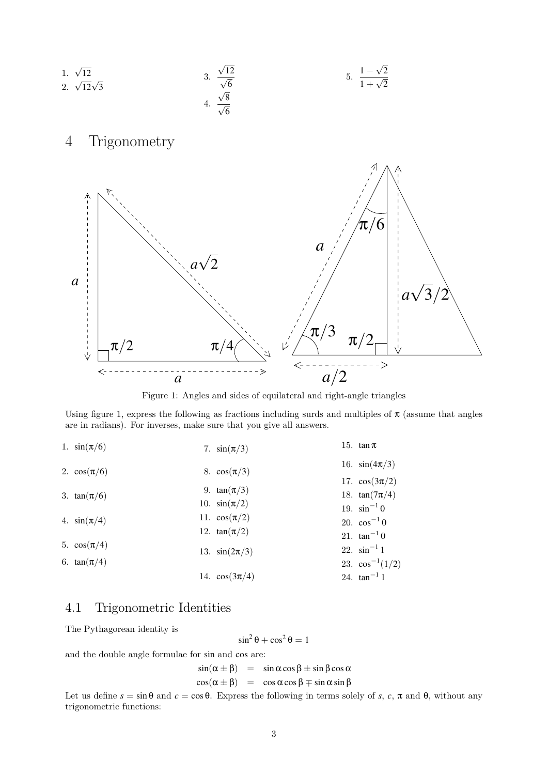

Figure 1: Angles and sides of equilateral and right-angle triangles

Using figure 1, express the following as fractions including surds and multiples of  $\pi$  (assume that angles are in radians). For inverses, make sure that you give all answers.

| 1. $sin(\pi/6)$  | 7. $sin(\pi/3)$    | 15. $\tan \pi$       |
|------------------|--------------------|----------------------|
| 2. $\cos(\pi/6)$ | 8. $\cos(\pi/3)$   | 16. $sin(4\pi/3)$    |
|                  |                    | 17. $\cos(3\pi/2)$   |
| 3. $tan(\pi/6)$  | 9. $tan(\pi/3)$    | 18. $tan(7\pi/4)$    |
|                  | 10. $sin(\pi/2)$   | 19. $\sin^{-1} 0$    |
| 4. $sin(\pi/4)$  | 11. $\cos(\pi/2)$  | 20. $\cos^{-1} 0$    |
|                  | 12. $tan(\pi/2)$   | 21. $tan^{-1} 0$     |
| 5. $\cos(\pi/4)$ | 13. $sin(2\pi/3)$  | 22. $\sin^{-1} 1$    |
| 6. $tan(\pi/4)$  |                    | 23. $\cos^{-1}(1/2)$ |
|                  | 14. $\cos(3\pi/4)$ | 24. $tan^{-1} 1$     |

### 4.1 Trigonometric Identities

The Pythagorean identity is

 $\sin^2 \theta + \cos^2 \theta = 1$ 

and the double angle formulae for sin and cos are:

 $\sin(\alpha \pm \beta) = \sin \alpha \cos \beta \pm \sin \beta \cos \alpha$  $\cos(\alpha \pm \beta) = \cos \alpha \cos \beta \mp \sin \alpha \sin \beta$ 

Let us define  $s = \sin \theta$  and  $c = \cos \theta$ . Express the following in terms solely of *s*, *c*,  $\pi$  and  $\theta$ , without any trigonometric functions: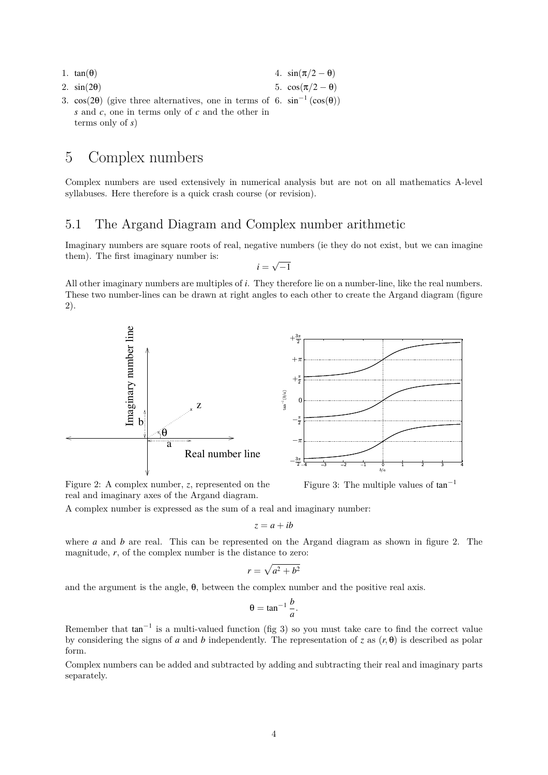- 1.  $tan(\theta)$ 4.  $\sin(\pi/2 - \theta)$
- 2. sin(2θ)
- 5.  $cos(π/2 θ)$
- 3. cos(2 $\theta$ ) (give three alternatives, one in terms of 6. sin<sup>-1</sup> (cos( $\theta$ )) *s* and *c*, one in terms only of *c* and the other in terms only of *s*)

## 5 Complex numbers

Complex numbers are used extensively in numerical analysis but are not on all mathematics A-level syllabuses. Here therefore is a quick crash course (or revision).

### 5.1 The Argand Diagram and Complex number arithmetic

Imaginary numbers are square roots of real, negative numbers (ie they do not exist, but we can imagine them). The first imaginary number is: √

 $i =$  $-1$ 

All other imaginary numbers are multiples of *i*. They therefore lie on a number-line, like the real numbers. These two number-lines can be drawn at right angles to each other to create the Argand diagram (figure 2).



Figure 2: A complex number, *z*, represented on the real and imaginary axes of the Argand diagram.

A complex number is expressed as the sum of a real and imaginary number:

$$
z = a + ib
$$

where *a* and *b* are real. This can be represented on the Argand diagram as shown in figure 2. The magnitude, *r*, of the complex number is the distance to zero:

$$
r = \sqrt{a^2 + b^2}
$$

and the argument is the angle, θ, between the complex number and the positive real axis.

$$
\theta = \tan^{-1} \frac{b}{a}.
$$

Remember that  $tan^{-1}$  is a multi-valued function (fig 3) so you must take care to find the correct value by considering the signs of *a* and *b* independently. The representation of *z* as  $(r, \theta)$  is described as polar form.

Complex numbers can be added and subtracted by adding and subtracting their real and imaginary parts separately.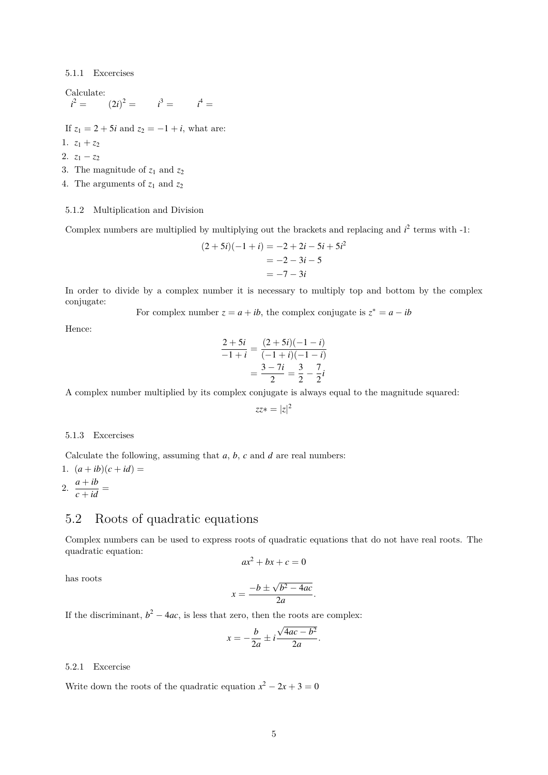5.1.1 Excercises

Calculate:  $i^2 =$  $i^2 = (2i)^2 = i^3 = i^4 =$ 

If  $z_1 = 2 + 5i$  and  $z_2 = -1 + i$ , what are:

1.  $z_1 + z_2$ 

2.  $z_1 - z_2$ 

3. The magnitude of  $z_1$  and  $z_2$ 

4. The arguments of  $z_1$  and  $z_2$ 

#### 5.1.2 Multiplication and Division

Complex numbers are multiplied by multiplying out the brackets and replacing and  $i<sup>2</sup>$  terms with  $-1$ :

$$
(2+5i)(-1+i) = -2 + 2i - 5i + 5i2
$$
  
= -2 - 3i - 5  
= -7 - 3i

In order to divide by a complex number it is necessary to multiply top and bottom by the complex conjugate:

For complex number  $z = a + ib$ , the complex conjugate is  $z^* = a - ib$ 

Hence:

$$
\frac{2+5i}{-1+i} = \frac{(2+5i)(-1-i)}{(-1+i)(-1-i)} = \frac{3-7i}{2} = \frac{3}{2} - \frac{7}{2}i
$$

A complex number multiplied by its complex conjugate is always equal to the magnitude squared:

$$
zz* = |z|^2
$$

#### 5.1.3 Excercises

Calculate the following, assuming that *a*, *b*, *c* and *d* are real numbers:

1. 
$$
(a+ib)(c+id) =
$$
  
2.  $\frac{a+ib}{c+id} =$ 

#### 5.2 Roots of quadratic equations

Complex numbers can be used to express roots of quadratic equations that do not have real roots. The quadratic equation:

$$
ax^2 + bx + c = 0
$$

has roots

$$
x = \frac{-b \pm \sqrt{b^2 - 4ac}}{2a}.
$$

If the discriminant,  $b^2 - 4ac$ , is less that zero, then the roots are complex:

$$
x = -\frac{b}{2a} \pm i \frac{\sqrt{4ac - b^2}}{2a}.
$$

#### 5.2.1 Excercise

Write down the roots of the quadratic equation  $x^2 - 2x + 3 = 0$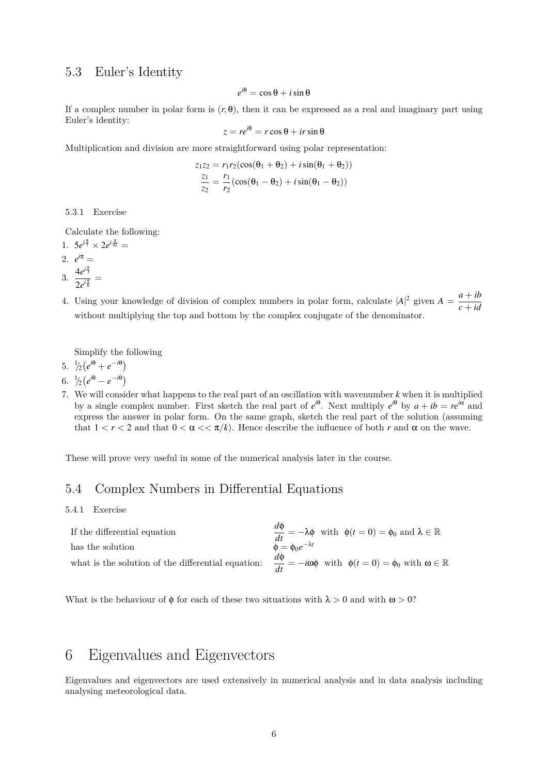#### 5.3 Euler's Identity

$$
e^{i\theta} = \cos\theta + i\sin\theta
$$

If a complex number in polar form is  $(r, \theta)$ , then it can be expressed as a real and imaginary part using Euler's identity:

$$
z = re^{i\theta} = r\cos\theta + ir\sin\theta
$$

Multiplication and division are more straightforward using polar representation:

$$
z_1 z_2 = r_1 r_2 (\cos(\theta_1 + \theta_2) + i \sin(\theta_1 + \theta_2))
$$
  
\n
$$
\frac{z_1}{z_2} = \frac{r_1}{r_2} (\cos(\theta_1 - \theta_2) + i \sin(\theta_1 - \theta_2))
$$

5.3.1 Exercise

Calculate the following:

1.  $5e^{i\frac{\pi}{7}} \times 2e^{i\frac{\pi}{42}} =$ 2.  $e^{i\pi} =$ 3.  $\frac{4e^{i\frac{\pi}{3}}}{2\pi}$  $\frac{16}{2e^{i\frac{\pi}{6}}}$  =

4. Using your knowledge of division of complex numbers in polar form, calculate  $|A|^2$  given  $A = \frac{a + ib}{a}$ *c* + *id* without multiplying the top and bottom by the complex conjugate of the denominator.

Simplify the following

- 5.  $\frac{1}{2}(e^{i\theta} + e^{-i\theta})$
- 6.  $\frac{1}{2}(e^{i\theta} e^{-i\theta})$
- 7. We will consider what happens to the real part of an oscillation with wavenumber *k* when it is multiplied by a single complex number. First sketch the real part of  $e^{i\theta}$ . Next multiply  $e^{i\theta}$  by  $a + ib = re^{i\alpha}$  and express the answer in polar form. On the same graph, sketch the real part of the solution (assuming that  $1 < r < 2$  and that  $0 < \alpha < \pi/k$ . Hence describe the influence of both r and  $\alpha$  on the wave.

These will prove very useful in some of the numerical analysis later in the course.

### 5.4 Complex Numbers in Differential Equations

5.4.1 Exercise

| If the differential equation                                                                                                                | $\frac{d\Phi}{dt} = -\lambda \Phi$ with $\phi(t = 0) = \phi_0$ and $\lambda \in \mathbb{R}$ |
|---------------------------------------------------------------------------------------------------------------------------------------------|---------------------------------------------------------------------------------------------|
| has the solution                                                                                                                            | $\Phi = \Phi_0 e^{-\lambda t}$                                                              |
| what is the solution of the differential equation: $\frac{d\phi}{dt} = -i\omega\phi$ with $\phi(t=0) = \phi_0$ with $\omega \in \mathbb{R}$ |                                                                                             |

What is the behaviour of  $\phi$  for each of these two situations with  $\lambda > 0$  and with  $\omega > 0$ ?

## 6 Eigenvalues and Eigenvectors

Eigenvalues and eigenvectors are used extensively in numerical analysis and in data analysis including analysing meteorological data.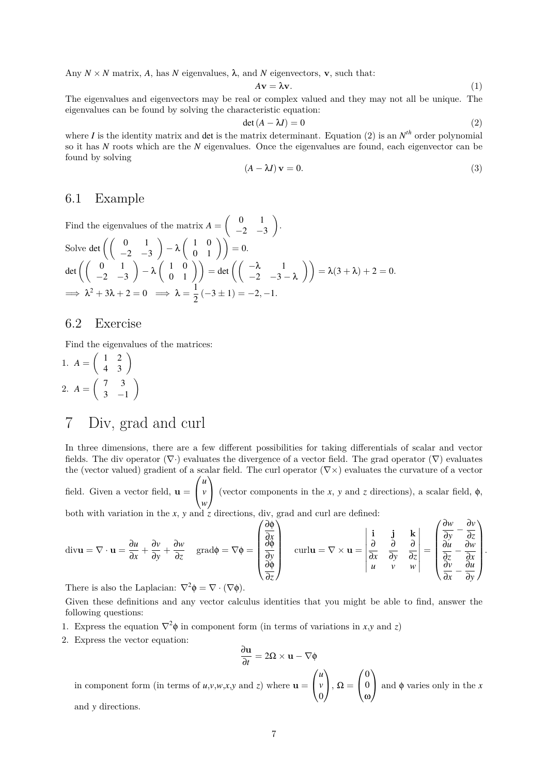Any  $N \times N$  matrix, A, has N eigenvalues,  $\lambda$ , and N eigenvectors, **v**, such that:

$$
A\mathbf{v} = \lambda \mathbf{v}.\tag{1}
$$

The eigenvalues and eigenvectors may be real or complex valued and they may not all be unique. The eigenvalues can be found by solving the characteristic equation:

$$
\det(A - \lambda I) = 0 \tag{2}
$$

where *I* is the identity matrix and det is the matrix determinant. Equation (2) is an  $N^{th}$  order polynomial so it has *N* roots which are the *N* eigenvalues. Once the eigenvalues are found, each eigenvector can be found by solving

$$
(A - \lambda I)\mathbf{v} = 0.\tag{3}
$$

#### 6.1 Example

Find the eigenvalues of the matrix 
$$
A = \begin{pmatrix} 0 & 1 \ -2 & -3 \end{pmatrix}
$$
.  
\nSolve det  $\left( \begin{pmatrix} 0 & 1 \ -2 & -3 \end{pmatrix} - \lambda \begin{pmatrix} 1 & 0 \ 0 & 1 \end{pmatrix} \right) = 0$ .  
\n
$$
\det \left( \begin{pmatrix} 0 & 1 \ -2 & -3 \end{pmatrix} - \lambda \begin{pmatrix} 1 & 0 \ 0 & 1 \end{pmatrix} \right) = \det \left( \begin{pmatrix} -\lambda & 1 \ -2 & -3 - \lambda \end{pmatrix} \right) = \lambda(3 + \lambda) + 2 = 0.
$$
\n
$$
\implies \lambda^2 + 3\lambda + 2 = 0 \implies \lambda = \frac{1}{2}(-3 \pm 1) = -2, -1.
$$

### 6.2 Exercise

Find the eigenvalues of the matrices:

1.  $A = \begin{pmatrix} 1 & 2 \\ 4 & 3 \end{pmatrix}$ 2.  $A = \begin{pmatrix} 7 & 3 \\ 2 & 3 \end{pmatrix}$  $3 -1$  $\setminus$ 

## 7 Div, grad and curl

In three dimensions, there are a few different possibilities for taking differentials of scalar and vector fields. The div operator  $(\nabla \cdot)$  evaluates the divergence of a vector field. The grad operator  $(\nabla)$  evaluates the (vector valued) gradient of a scalar field. The curl operator  $(\nabla \times)$  evaluates the curvature of a vector field. Given a vector field,  $\mathbf{u} =$  $\sqrt{ }$  $\overline{1}$ *u v w*  $\setminus$ (vector components in the *x*, *y* and *z* directions), a scalar field,  $\phi$ ,

both with variation in the *x*, *y* and  $\frac{7}{2}$  directions, div, grad and curl are defined:

$$
\text{div}\mathbf{u} = \nabla \cdot \mathbf{u} = \frac{\partial u}{\partial x} + \frac{\partial v}{\partial y} + \frac{\partial w}{\partial z} \quad \text{grad}\phi = \nabla \phi = \begin{pmatrix} \frac{\partial \phi}{\partial x} \\ \frac{\partial \phi}{\partial y} \\ \frac{\partial \phi}{\partial z} \end{pmatrix} \quad \text{curl}\mathbf{u} = \nabla \times \mathbf{u} = \begin{vmatrix} \mathbf{i} & \mathbf{j} & \mathbf{k} \\ \frac{\partial}{\partial x} & \frac{\partial}{\partial y} & \frac{\partial}{\partial z} \\ \frac{\partial u}{\partial x} & \frac{\partial u}{\partial y} & \frac{\partial u}{\partial z} \end{vmatrix} = \begin{pmatrix} \frac{\partial w}{\partial y} - \frac{\partial v}{\partial z} \\ \frac{\partial u}{\partial x} - \frac{\partial w}{\partial x} \\ \frac{\partial v}{\partial x} - \frac{\partial u}{\partial y} \end{pmatrix}.
$$

There is also the Laplacian:  $\nabla^2 \phi = \nabla \cdot (\nabla \phi)$ .

Given these definitions and any vector calculus identities that you might be able to find, answer the following questions:

- 1. Express the equation  $\nabla^2 \phi$  in component form (in terms of variations in *x*,*y* and *z*)
- 2. Express the vector equation:

$$
\frac{\partial \mathbf{u}}{\partial t} = 2\Omega \times \mathbf{u} - \nabla \phi
$$

in component form (in terms of  $u, v, w, x, y$  and *z*) where  $u =$  $\sqrt{ }$  $\overline{1}$ *u v*  $\boldsymbol{0}$ A.  $\bigg\}$ ,  $\Omega =$  $\sqrt{ }$  $\overline{1}$  $\boldsymbol{0}$  $\boldsymbol{0}$ ω  $\setminus$ and  $\phi$  varies only in the *x* and *y* directions.